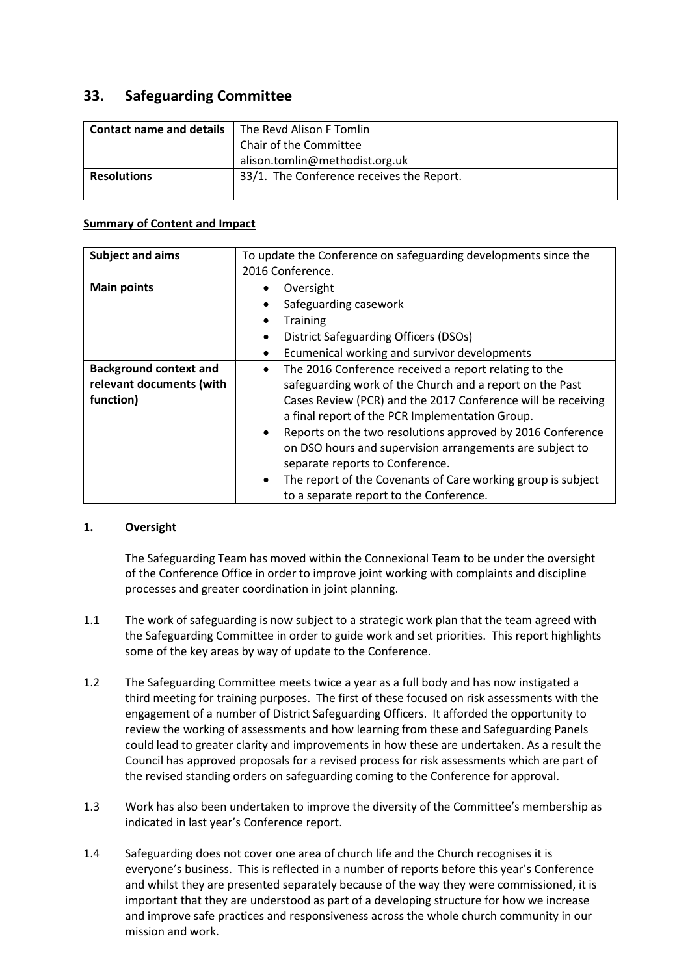# **33. Safeguarding Committee**

| <b>Contact name and details</b><br>The Revd Alison F Tomlin |
|-------------------------------------------------------------|
| Chair of the Committee                                      |
| alison.tomlin@methodist.org.uk                              |
| 33/1. The Conference receives the Report.                   |
|                                                             |

## **Summary of Content and Impact**

| Subject and aims              | To update the Conference on safeguarding developments since the           |  |  |
|-------------------------------|---------------------------------------------------------------------------|--|--|
|                               | 2016 Conference.                                                          |  |  |
| <b>Main points</b>            | Oversight                                                                 |  |  |
|                               | Safeguarding casework                                                     |  |  |
|                               | <b>Training</b>                                                           |  |  |
|                               | District Safeguarding Officers (DSOs)<br>٠                                |  |  |
|                               | Ecumenical working and survivor developments                              |  |  |
| <b>Background context and</b> | The 2016 Conference received a report relating to the<br>$\bullet$        |  |  |
| relevant documents (with      | safeguarding work of the Church and a report on the Past                  |  |  |
| function)                     | Cases Review (PCR) and the 2017 Conference will be receiving              |  |  |
|                               | a final report of the PCR Implementation Group.                           |  |  |
|                               | Reports on the two resolutions approved by 2016 Conference<br>$\bullet$   |  |  |
|                               | on DSO hours and supervision arrangements are subject to                  |  |  |
|                               | separate reports to Conference.                                           |  |  |
|                               | The report of the Covenants of Care working group is subject<br>$\bullet$ |  |  |
|                               | to a separate report to the Conference.                                   |  |  |

# **1. Oversight**

The Safeguarding Team has moved within the Connexional Team to be under the oversight of the Conference Office in order to improve joint working with complaints and discipline processes and greater coordination in joint planning.

- 1.1 The work of safeguarding is now subject to a strategic work plan that the team agreed with the Safeguarding Committee in order to guide work and set priorities. This report highlights some of the key areas by way of update to the Conference.
- 1.2 The Safeguarding Committee meets twice a year as a full body and has now instigated a third meeting for training purposes. The first of these focused on risk assessments with the engagement of a number of District Safeguarding Officers. It afforded the opportunity to review the working of assessments and how learning from these and Safeguarding Panels could lead to greater clarity and improvements in how these are undertaken. As a result the Council has approved proposals for a revised process for risk assessments which are part of the revised standing orders on safeguarding coming to the Conference for approval.
- 1.3 Work has also been undertaken to improve the diversity of the Committee's membership as indicated in last year's Conference report.
- 1.4 Safeguarding does not cover one area of church life and the Church recognises it is everyone's business. This is reflected in a number of reports before this year's Conference and whilst they are presented separately because of the way they were commissioned, it is important that they are understood as part of a developing structure for how we increase and improve safe practices and responsiveness across the whole church community in our mission and work.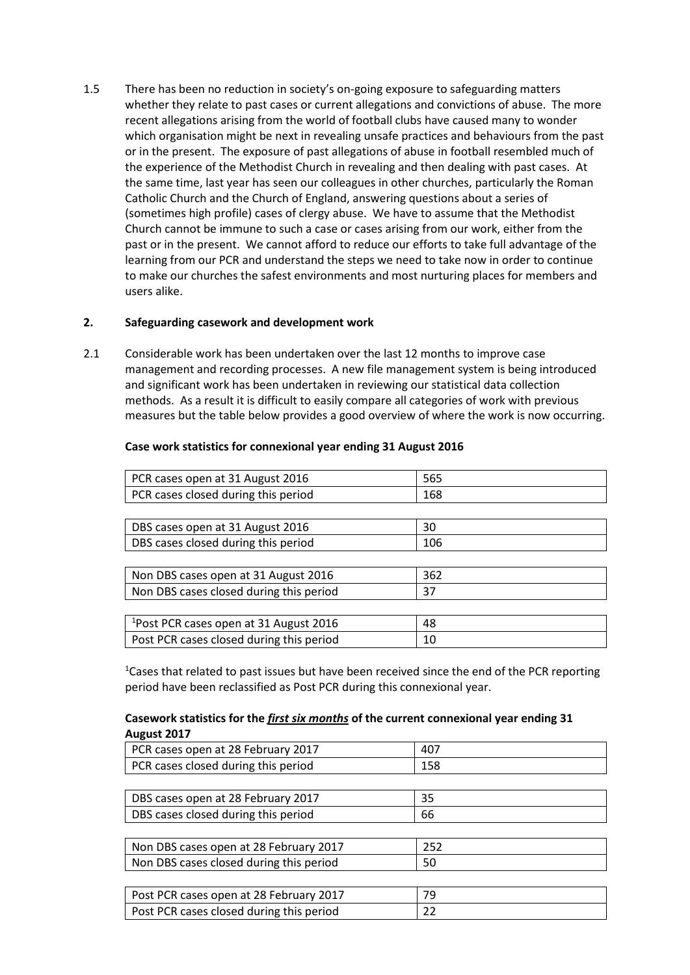1.5 There has been no reduction in society's on-going exposure to safeguarding matters whether they relate to past cases or current allegations and convictions of abuse. The more recent allegations arising from the world of football clubs have caused many to wonder which organisation might be next in revealing unsafe practices and behaviours from the past or in the present. The exposure of past allegations of abuse in football resembled much of the experience of the Methodist Church in revealing and then dealing with past cases. At the same time, last year has seen our colleagues in other churches, particularly the Roman Catholic Church and the Church of England, answering questions about a series of (sometimes high profile) cases of clergy abuse. We have to assume that the Methodist Church cannot be immune to such a case or cases arising from our work, either from the past or in the present. We cannot afford to reduce our efforts to take full advantage of the learning from our PCR and understand the steps we need to take now in order to continue to make our churches the safest environments and most nurturing places for members and users alike.

## **2. Safeguarding casework and development work**

2.1 Considerable work has been undertaken over the last 12 months to improve case management and recording processes. A new file management system is being introduced and significant work has been undertaken in reviewing our statistical data collection methods. As a result it is difficult to easily compare all categories of work with previous measures but the table below provides a good overview of where the work is now occurring.

| PCR cases open at 31 August 2016                   | 565 |
|----------------------------------------------------|-----|
| PCR cases closed during this period                | 168 |
|                                                    |     |
| DBS cases open at 31 August 2016                   | 30  |
| DBS cases closed during this period                | 106 |
|                                                    |     |
| Non DBS cases open at 31 August 2016               | 362 |
| Non DBS cases closed during this period            | 37  |
|                                                    |     |
| <sup>1</sup> Post PCR cases open at 31 August 2016 | 48  |
| Post PCR cases closed during this period           | 10  |

#### **Case work statistics for connexional year ending 31 August 2016**

<sup>1</sup>Cases that related to past issues but have been received since the end of the PCR reporting period have been reclassified as Post PCR during this connexional year.

#### **Casework statistics for the** *first six months* **of the current connexional year ending 31 August 2017**

| PCR cases open at 28 February 2017       | 407 |
|------------------------------------------|-----|
| PCR cases closed during this period      | 158 |
|                                          |     |
| DBS cases open at 28 February 2017       | 35  |
| DBS cases closed during this period      | 66  |
|                                          |     |
| Non DBS cases open at 28 February 2017   | 252 |
| Non DBS cases closed during this period  | 50  |
|                                          |     |
| Post PCR cases open at 28 February 2017  | 79  |
| Post PCR cases closed during this period | 22  |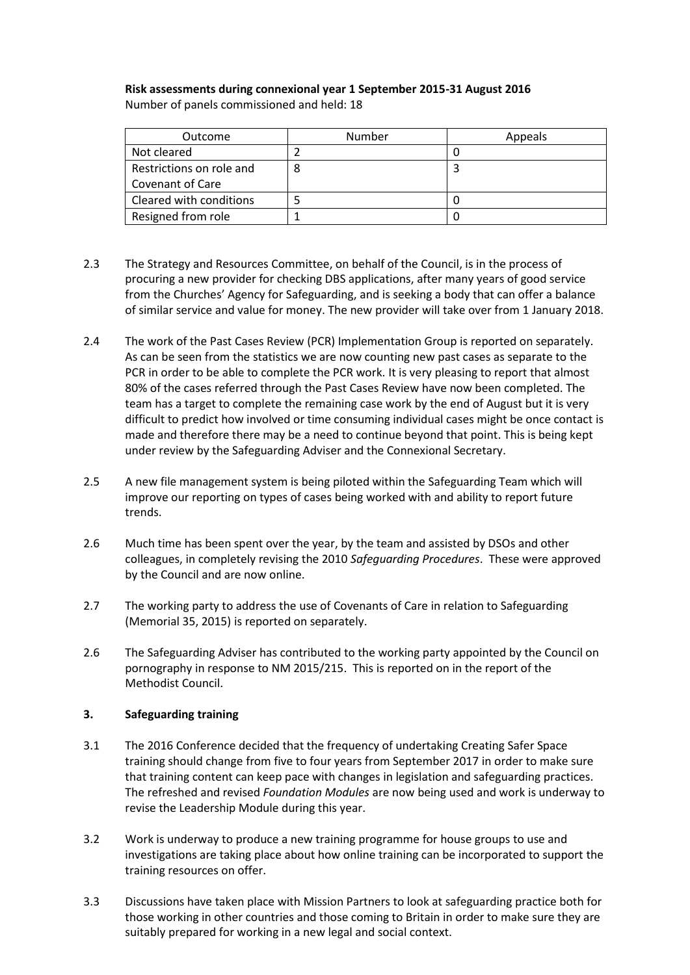#### **Risk assessments during connexional year 1 September 2015-31 August 2016** Number of panels commissioned and held: 18

| Outcome                  | Number | Appeals |
|--------------------------|--------|---------|
| Not cleared              |        |         |
| Restrictions on role and |        |         |
| Covenant of Care         |        |         |
| Cleared with conditions  |        |         |
| Resigned from role       |        |         |

- 2.3 The Strategy and Resources Committee, on behalf of the Council, is in the process of procuring a new provider for checking DBS applications, after many years of good service from the Churches' Agency for Safeguarding, and is seeking a body that can offer a balance of similar service and value for money. The new provider will take over from 1 January 2018.
- 2.4 The work of the Past Cases Review (PCR) Implementation Group is reported on separately. As can be seen from the statistics we are now counting new past cases as separate to the PCR in order to be able to complete the PCR work. It is very pleasing to report that almost 80% of the cases referred through the Past Cases Review have now been completed. The team has a target to complete the remaining case work by the end of August but it is very difficult to predict how involved or time consuming individual cases might be once contact is made and therefore there may be a need to continue beyond that point. This is being kept under review by the Safeguarding Adviser and the Connexional Secretary.
- 2.5 A new file management system is being piloted within the Safeguarding Team which will improve our reporting on types of cases being worked with and ability to report future trends.
- 2.6 Much time has been spent over the year, by the team and assisted by DSOs and other colleagues, in completely revising the 2010 *Safeguarding Procedures*. These were approved by the Council and are now online.
- 2.7 The working party to address the use of Covenants of Care in relation to Safeguarding (Memorial 35, 2015) is reported on separately.
- 2.6 The Safeguarding Adviser has contributed to the working party appointed by the Council on pornography in response to NM 2015/215. This is reported on in the report of the Methodist Council.

# **3. Safeguarding training**

- 3.1 The 2016 Conference decided that the frequency of undertaking Creating Safer Space training should change from five to four years from September 2017 in order to make sure that training content can keep pace with changes in legislation and safeguarding practices. The refreshed and revised *Foundation Modules* are now being used and work is underway to revise the Leadership Module during this year.
- 3.2 Work is underway to produce a new training programme for house groups to use and investigations are taking place about how online training can be incorporated to support the training resources on offer.
- 3.3 Discussions have taken place with Mission Partners to look at safeguarding practice both for those working in other countries and those coming to Britain in order to make sure they are suitably prepared for working in a new legal and social context.